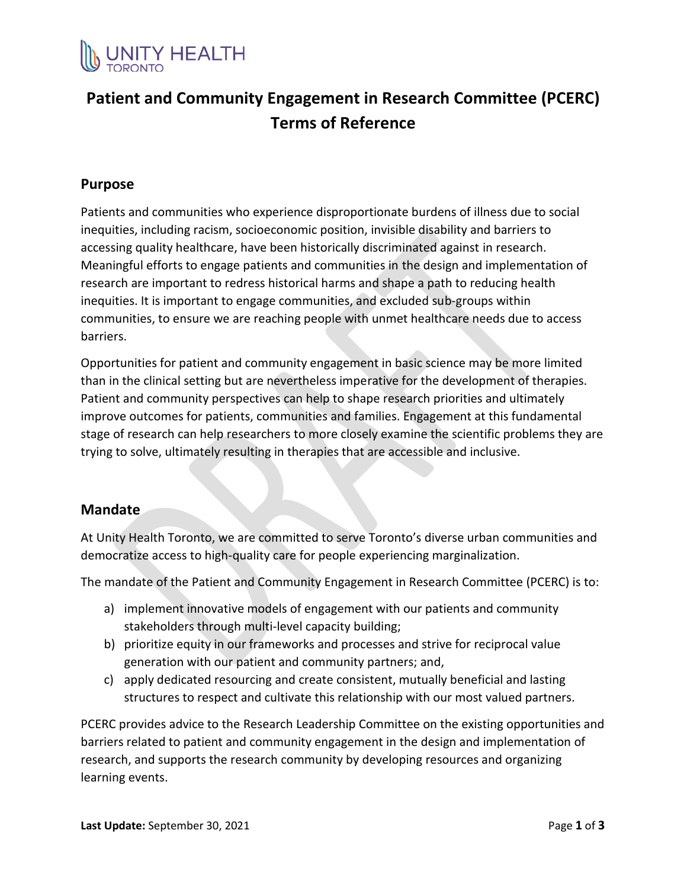

# **Patient and Community Engagement in Research Committee (PCERC) Terms of Reference**

#### **Purpose**

Patients and communities who experience disproportionate burdens of illness due to social inequities, including racism, socioeconomic position, invisible disability and barriers to accessing quality healthcare, have been historically discriminated against in research. Meaningful efforts to engage patients and communities in the design and implementation of research are important to redress historical harms and shape a path to reducing health inequities. It is important to engage communities, and excluded sub-groups within communities, to ensure we are reaching people with unmet healthcare needs due to access barriers.

Opportunities for patient and community engagement in basic science may be more limited than in the clinical setting but are nevertheless imperative for the development of therapies. Patient and community perspectives can help to shape research priorities and ultimately improve outcomes for patients, communities and families. Engagement at this fundamental stage of research can help researchers to more closely examine the scientific problems they are trying to solve, ultimately resulting in therapies that are accessible and inclusive.

#### **Mandate**

At Unity Health Toronto, we are committed to serve Toronto's diverse urban communities and democratize access to high-quality care for people experiencing marginalization.

The mandate of the Patient and Community Engagement in Research Committee (PCERC) is to:

- a) implement innovative models of engagement with our patients and community stakeholders through multi-level capacity building;
- b) prioritize equity in our frameworks and processes and strive for reciprocal value generation with our patient and community partners; and,
- c) apply dedicated resourcing and create consistent, mutually beneficial and lasting structures to respect and cultivate this relationship with our most valued partners.

PCERC provides advice to the Research Leadership Committee on the existing opportunities and barriers related to patient and community engagement in the design and implementation of research, and supports the research community by developing resources and organizing learning events.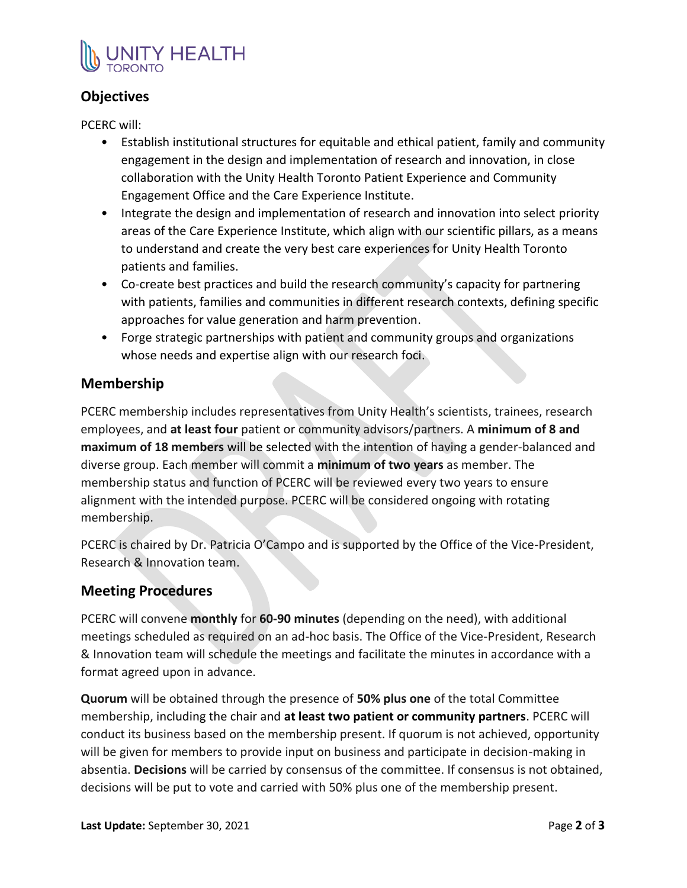

# **Objectives**

PCERC will:

- Establish institutional structures for equitable and ethical patient, family and community engagement in the design and implementation of research and innovation, in close collaboration with the Unity Health Toronto Patient Experience and Community Engagement Office and the Care Experience Institute.
- Integrate the design and implementation of research and innovation into select priority areas of the Care Experience Institute, which align with our scientific pillars, as a means to understand and create the very best care experiences for Unity Health Toronto patients and families.
- Co-create best practices and build the research community's capacity for partnering with patients, families and communities in different research contexts, defining specific approaches for value generation and harm prevention.
- Forge strategic partnerships with patient and community groups and organizations whose needs and expertise align with our research foci.

### **Membership**

PCERC membership includes representatives from Unity Health's scientists, trainees, research employees, and **at least four** patient or community advisors/partners. A **minimum of 8 and maximum of 18 members** will be selected with the intention of having a gender-balanced and diverse group. Each member will commit a **minimum of two years** as member. The membership status and function of PCERC will be reviewed every two years to ensure alignment with the intended purpose. PCERC will be considered ongoing with rotating membership.

PCERC is chaired by Dr. Patricia O'Campo and is supported by the Office of the Vice-President, Research & Innovation team.

### **Meeting Procedures**

PCERC will convene **monthly** for **60-90 minutes** (depending on the need), with additional meetings scheduled as required on an ad-hoc basis. The Office of the Vice-President, Research & Innovation team will schedule the meetings and facilitate the minutes in accordance with a format agreed upon in advance.

**Quorum** will be obtained through the presence of **50% plus one** of the total Committee membership, including the chair and **at least two patient or community partners**. PCERC will conduct its business based on the membership present. If quorum is not achieved, opportunity will be given for members to provide input on business and participate in decision-making in absentia. **Decisions** will be carried by consensus of the committee. If consensus is not obtained, decisions will be put to vote and carried with 50% plus one of the membership present.